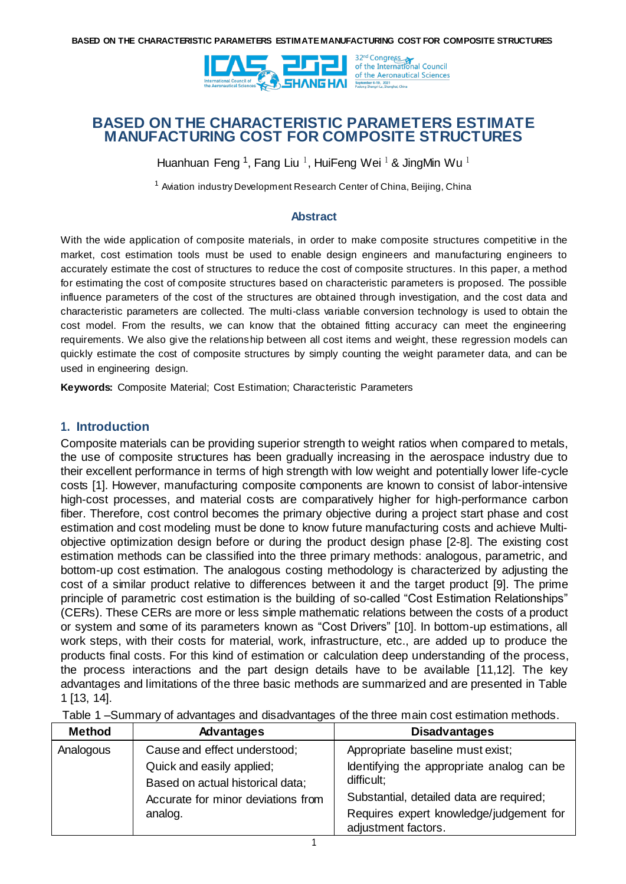

Huanhuan Feng <sup>1</sup>, Fang Liu <sup>1</sup>, HuiFeng Wei <sup>1</sup> & JingMin Wu <sup>1</sup>

<sup>1</sup> Aviation industry Development Research Center of China, Beijing, China

#### **Abstract**

With the wide application of composite materials, in order to make composite structures competitive in the market, cost estimation tools must be used to enable design engineers and manufacturing engineers to accurately estimate the cost of structures to reduce the cost of composite structures. In this paper, a method for estimating the cost of composite structures based on characteristic parameters is proposed. The possible influence parameters of the cost of the structures are obtained through investigation, and the cost data and characteristic parameters are collected. The multi-class variable conversion technology is used to obtain the cost model. From the results, we can know that the obtained fitting accuracy can meet the engineering requirements. We also give the relationship between all cost items and weight, these regression models can quickly estimate the cost of composite structures by simply counting the weight parameter data, and can be used in engineering design.

**Keywords:** Composite Material; Cost Estimation; Characteristic Parameters

#### **1. Introduction**

Composite materials can be providing superior strength to weight ratios when compared to metals, the use of composite structures has been gradually increasing in the aerospace industry due to their excellent performance in terms of high strength with low weight and potentially lower life-cycle costs [1]. However, manufacturing composite components are known to consist of labor-intensive high-cost processes, and material costs are comparatively higher for high-performance carbon fiber. Therefore, cost control becomes the primary objective during a project start phase and cost estimation and cost modeling must be done to know future manufacturing costs and achieve Multiobjective optimization design before or during the product design phase [2-8]. The existing cost estimation methods can be classified into the three primary methods: analogous, parametric, and bottom-up cost estimation. The analogous costing methodology is characterized by adjusting the cost of a similar product relative to differences between it and the target product [9]. The prime principle of parametric cost estimation is the building of so-called "Cost Estimation Relationships" (CERs). These CERs are more or less simple mathematic relations between the costs of a product or system and some of its parameters known as "Cost Drivers" [10]. In bottom-up estimations, all work steps, with their costs for material, work, infrastructure, etc., are added up to produce the products final costs. For this kind of estimation or calculation deep understanding of the process, the process interactions and the part design details have to be available [11,12]. The key advantages and limitations of the three basic methods are summarized and are presented in Table 1 [13, 14].

| <b>Method</b> | <b>Advantages</b>                                             | <b>Disadvantages</b>                                           |
|---------------|---------------------------------------------------------------|----------------------------------------------------------------|
| Analogous     | Cause and effect understood;                                  | Appropriate baseline must exist;                               |
|               | Quick and easily applied;<br>Based on actual historical data; | Identifying the appropriate analog can be<br>difficult;        |
|               | Accurate for minor deviations from                            | Substantial, detailed data are required;                       |
|               | analog.                                                       | Requires expert knowledge/judgement for<br>adjustment factors. |

Table 1 –Summary of advantages and disadvantages of the three main cost estimation methods.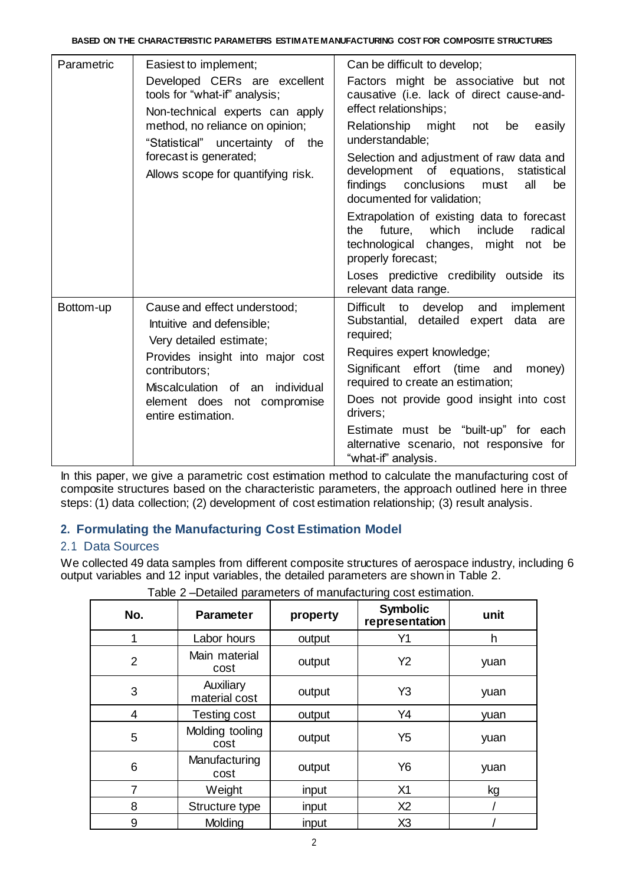| Parametric | Easiest to implement;                                                                                                                     | Can be difficult to develop;                                                                                                                                                                                                                                                                                             |  |  |  |
|------------|-------------------------------------------------------------------------------------------------------------------------------------------|--------------------------------------------------------------------------------------------------------------------------------------------------------------------------------------------------------------------------------------------------------------------------------------------------------------------------|--|--|--|
|            | Developed CERs are excellent<br>tools for "what-if" analysis;<br>Non-technical experts can apply                                          | Factors might be associative but not<br>causative (i.e. lack of direct cause-and-<br>effect relationships;                                                                                                                                                                                                               |  |  |  |
|            | method, no reliance on opinion;<br>"Statistical" uncertainty of the                                                                       | Relationship might not<br>be<br>easily<br>understandable;                                                                                                                                                                                                                                                                |  |  |  |
|            | forecast is generated;<br>Allows scope for quantifying risk.                                                                              | Selection and adjustment of raw data and<br>development of equations, statistical<br>findings conclusions must<br>all<br>be<br>documented for validation;<br>Extrapolation of existing data to forecast<br>which<br>include<br>future,<br>radical<br>the<br>technological changes, might<br>not be<br>properly forecast; |  |  |  |
|            |                                                                                                                                           |                                                                                                                                                                                                                                                                                                                          |  |  |  |
|            |                                                                                                                                           | Loses predictive credibility outside its<br>relevant data range.                                                                                                                                                                                                                                                         |  |  |  |
| Bottom-up  | Cause and effect understood;<br>Intuitive and defensible;<br>Very detailed estimate;                                                      | Difficult to develop and<br>implement<br>Substantial, detailed expert<br>data are<br>required;                                                                                                                                                                                                                           |  |  |  |
|            | Provides insight into major cost<br>contributors;<br>Miscalculation of an individual<br>element does not compromise<br>entire estimation. | Requires expert knowledge;                                                                                                                                                                                                                                                                                               |  |  |  |
|            |                                                                                                                                           | Significant effort (time and<br>money)<br>required to create an estimation;                                                                                                                                                                                                                                              |  |  |  |
|            |                                                                                                                                           | Does not provide good insight into cost<br>drivers;                                                                                                                                                                                                                                                                      |  |  |  |
|            |                                                                                                                                           | Estimate must be "built-up" for each<br>alternative scenario, not responsive for<br>"what-if" analysis.                                                                                                                                                                                                                  |  |  |  |

In this paper, we give a parametric cost estimation method to calculate the manufacturing cost of composite structures based on the characteristic parameters, the approach outlined here in three steps: (1) data collection; (2) development of cost estimation relationship; (3) result analysis.

# **2. Formulating the Manufacturing Cost Estimation Model**

## 2.1 Data Sources

We collected 49 data samples from different composite structures of aerospace industry, including 6 output variables and 12 input variables, the detailed parameters are shown in Table 2.

|                |                            |          | ັ                                 |      |
|----------------|----------------------------|----------|-----------------------------------|------|
| No.            | <b>Parameter</b>           | property | <b>Symbolic</b><br>representation | unit |
| 1              | Labor hours                | output   | Y1                                | h    |
| $\overline{2}$ | Main material<br>cost      | output   | Y <sub>2</sub>                    | yuan |
| 3              | Auxiliary<br>material cost | output   | Y <sub>3</sub>                    | yuan |
| 4              | Testing cost               | output   | Y4                                | yuan |
| 5              | Molding tooling<br>cost    | output   | Y <sub>5</sub>                    | yuan |
| 6              | Manufacturing<br>cost      | output   | Y6                                | yuan |
| $\overline{7}$ | Weight                     | input    | X1                                | kg   |
| 8              | Structure type             | input    | X <sub>2</sub>                    |      |
| 9              | Molding                    | input    | X3                                |      |
|                |                            |          |                                   |      |

Table 2 –Detailed parameters of manufacturing cost estimation.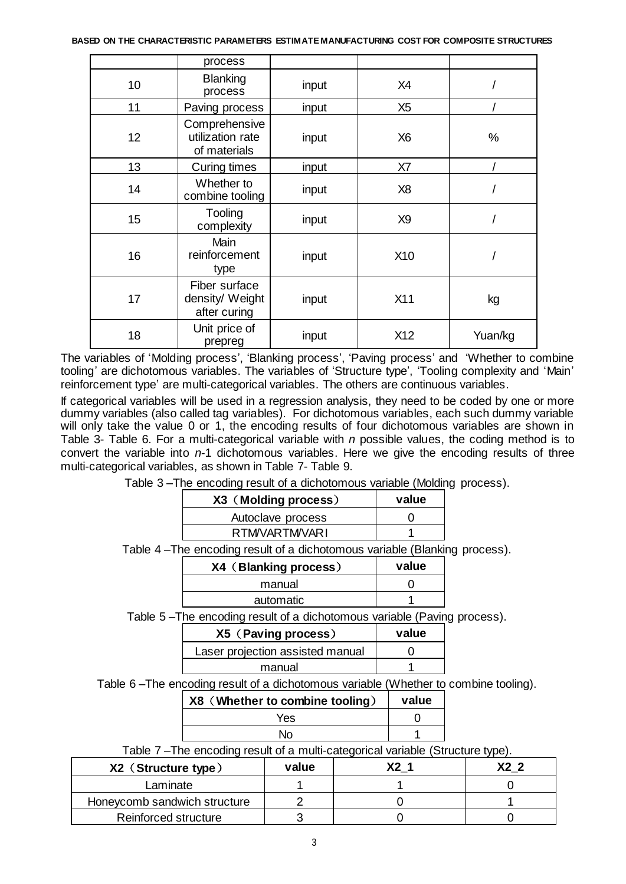|    | process                                           |       |                |         |
|----|---------------------------------------------------|-------|----------------|---------|
| 10 | <b>Blanking</b><br>process                        | input | X4             |         |
| 11 | Paving process                                    | input | X <sub>5</sub> |         |
| 12 | Comprehensive<br>utilization rate<br>of materials | input | X <sub>6</sub> | $\%$    |
| 13 | Curing times                                      | input | X7             |         |
| 14 | Whether to<br>combine tooling                     | input | X <sub>8</sub> |         |
| 15 | Tooling<br>complexity                             | input | X <sub>9</sub> |         |
| 16 | Main<br>reinforcement<br>type                     | input | X10            |         |
| 17 | Fiber surface<br>density/ Weight<br>after curing  | input | X11            | kg      |
| 18 | Unit price of<br>prepreg                          | input | X12            | Yuan/kg |

The variables of 'Molding process', 'Blanking process', 'Paving process' and 'Whether to combine tooling' are dichotomous variables. The variables of 'Structure type', 'Tooling complexity and 'Main' reinforcement type' are multi-categorical variables. The others are continuous variables.

If categorical variables will be used in a regression analysis, they need to be coded by one or more dummy variables (also called tag variables). For dichotomous variables, each such dummy variable will only take the value 0 or 1, the encoding results of four dichotomous variables are shown in Table 3- Table 6. For a multi-categorical variable with *n* possible values, the coding method is to convert the variable into *n*-1 dichotomous variables. Here we give the encoding results of three multi-categorical variables, as shown in Table 7- Table 9.

Table 3 –The encoding result of a dichotomous variable (Molding process).

| X3 (Molding process) | value |
|----------------------|-------|
| Autoclave process    |       |
| <b>RTMVARTMVARI</b>  |       |

Table 4 –The encoding result of a dichotomous variable (Blanking process).

| X4 (Blanking process) | value |
|-----------------------|-------|
| manual                |       |
| automatic             |       |
|                       |       |

Table 5 –The encoding result of a dichotomous variable (Paving process).

| X5 (Paving process)              | value |
|----------------------------------|-------|
| Laser projection assisted manual |       |
| manual                           |       |

Table 6 –The encoding result of a dichotomous variable (Whether to combine tooling).

| X8 (Whether to combine tooling) | value |
|---------------------------------|-------|
| Yes                             |       |
| No.                             |       |

Table 7 –The encoding result of a multi-categorical variable (Structure type).

| X2 (Structure type)          | value | r cy |
|------------------------------|-------|------|
| Laminate                     |       |      |
| Honeycomb sandwich structure |       |      |
| Reinforced structure         |       |      |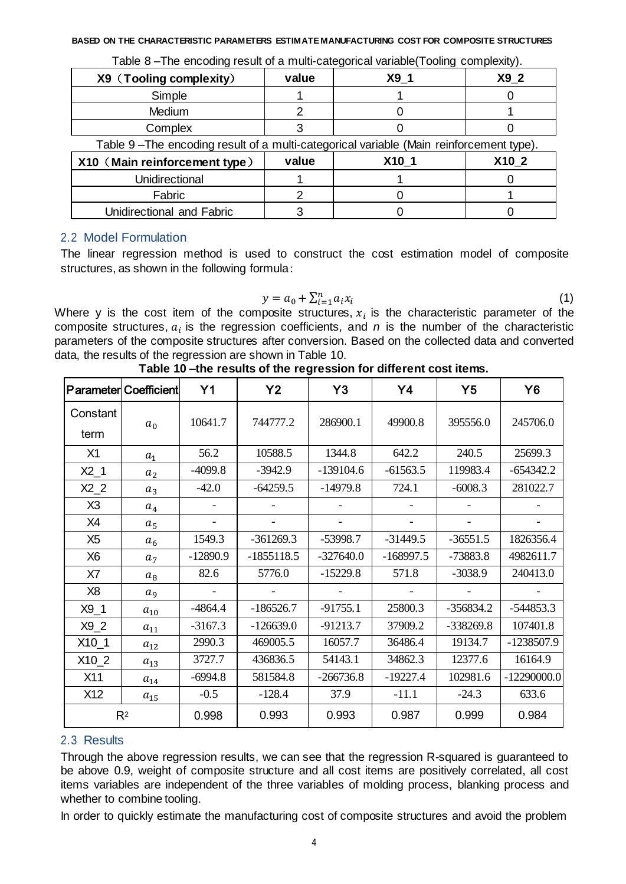| X9 (Tooling complexity)                                                                | value | $X9_1$ | X9 2  |
|----------------------------------------------------------------------------------------|-------|--------|-------|
| Simple                                                                                 |       |        |       |
| <b>Medium</b>                                                                          |       |        |       |
| Complex                                                                                |       |        |       |
| Table 9-The encoding result of a multi-categorical variable (Main reinforcement type). |       |        |       |
| X10 (Main reinforcement type)                                                          | value | X10 1  | X10 2 |
| Unidirectional                                                                         |       |        |       |
| Fabric                                                                                 |       |        |       |
| Unidirectional and Fabric                                                              |       |        |       |

Table 8 –The encoding result of a multi-categorical variable(Tooling complexity).

# 2.2 Model Formulation

The linear regression method is used to construct the cost estimation model of composite structures, as shown in the following formula:

$$
y = a_0 + \sum_{i=1}^n a_i x_i \tag{1}
$$

Where y is the cost item of the composite structures,  $x_i$  is the characteristic parameter of the composite structures,  $a_i$  is the regression coefficients, and  $n$  is the number of the characteristic parameters of the composite structures after conversion. Based on the collected data and converted data, the results of the regression are shown in Table 10.

|                | <b>Parameter Coefficient</b> | Y <sub>1</sub> | Y <sub>2</sub> | Y3          | Y4          | Y <sub>5</sub> | <b>Y6</b>     |
|----------------|------------------------------|----------------|----------------|-------------|-------------|----------------|---------------|
| Constant       | $a_0$                        | 10641.7        | 744777.2       | 286900.1    | 49900.8     | 395556.0       | 245706.0      |
| term           |                              |                |                |             |             |                |               |
| X1             | $a_1$                        | 56.2           | 10588.5        | 1344.8      | 642.2       | 240.5          | 25699.3       |
| $X2_1$         | $a_2$                        | $-4099.8$      | $-3942.9$      | $-139104.6$ | $-61563.5$  | 119983.4       | $-654342.2$   |
| $X2_2$         | $a_3$                        | $-42.0$        | $-64259.5$     | $-14979.8$  | 724.1       | $-6008.3$      | 281022.7      |
| X <sub>3</sub> | $a_4$                        |                |                |             |             |                |               |
| X4             | $a_5$                        |                |                |             |             |                |               |
| X <sub>5</sub> | a <sub>6</sub>               | 1549.3         | $-361269.3$    | $-53998.7$  | $-31449.5$  | $-36551.5$     | 1826356.4     |
| X <sub>6</sub> | a <sub>7</sub>               | $-12890.9$     | $-1855118.5$   | $-327640.0$ | $-168997.5$ | $-73883.8$     | 4982611.7     |
| X7             | $a_8$                        | 82.6           | 5776.0         | $-15229.8$  | 571.8       | $-3038.9$      | 240413.0      |
| X <sub>8</sub> | a <sub>9</sub>               |                |                |             |             |                |               |
| $X9_1$         | $a_{10}$                     | $-4864.4$      | $-186526.7$    | $-91755.1$  | 25800.3     | $-356834.2$    | $-544853.3$   |
| $X9_2$         | $a_{11}$                     | $-3167.3$      | $-126639.0$    | $-91213.7$  | 37909.2     | $-338269.8$    | 107401.8      |
| $X10_1$        | $a_{12}$                     | 2990.3         | 469005.5       | 16057.7     | 36486.4     | 19134.7        | -1238507.9    |
| $X10_2$        | $a_{13}$                     | 3727.7         | 436836.5       | 54143.1     | 34862.3     | 12377.6        | 16164.9       |
| X11            | $a_{14}$                     | $-6994.8$      | 581584.8       | $-266736.8$ | $-19227.4$  | 102981.6       | $-12290000.0$ |
| X12            | $a_{15}$                     | $-0.5$         | $-128.4$       | 37.9        | $-11.1$     | $-24.3$        | 633.6         |
|                | $R^2$                        | 0.998          | 0.993          | 0.993       | 0.987       | 0.999          | 0.984         |

|  | Table 10 –the results of the regression for different cost items. |
|--|-------------------------------------------------------------------|
|  |                                                                   |
|  |                                                                   |

## 2.3 Results

Through the above regression results, we can see that the regression R-squared is guaranteed to be above 0.9, weight of composite structure and all cost items are positively correlated, all cost items variables are independent of the three variables of molding process, blanking process and whether to combine tooling.

In order to quickly estimate the manufacturing cost of composite structures and avoid the problem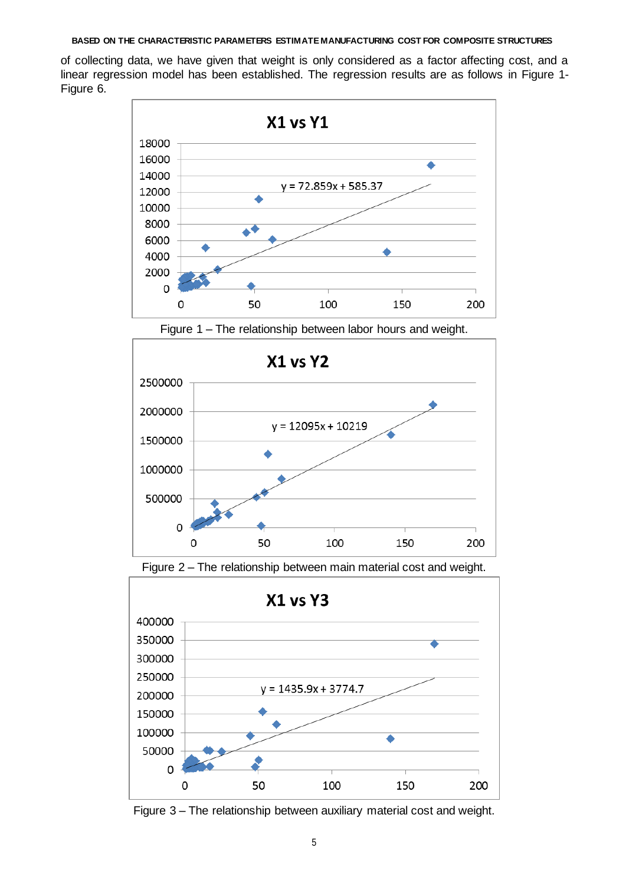of collecting data, we have given that weight is only considered as a factor affecting cost, and a linear regression model has been established. The regression results are as follows in Figure 1- Figure 6.



Figure 1 – The relationship between labor hours and weight.



Figure 2 – The relationship between main material cost and weight.



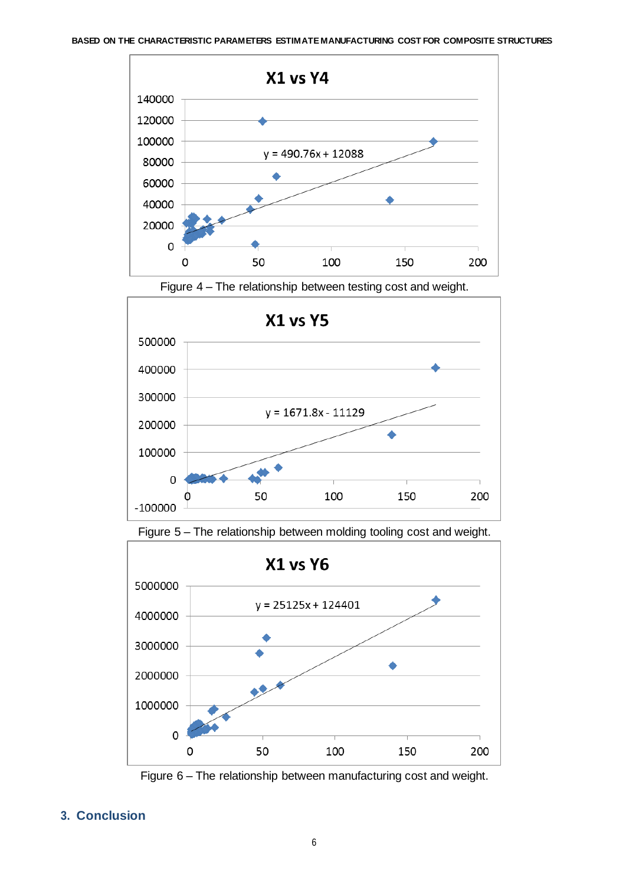





Figure 5 – The relationship between molding tooling cost and weight.





### **3. Conclusion**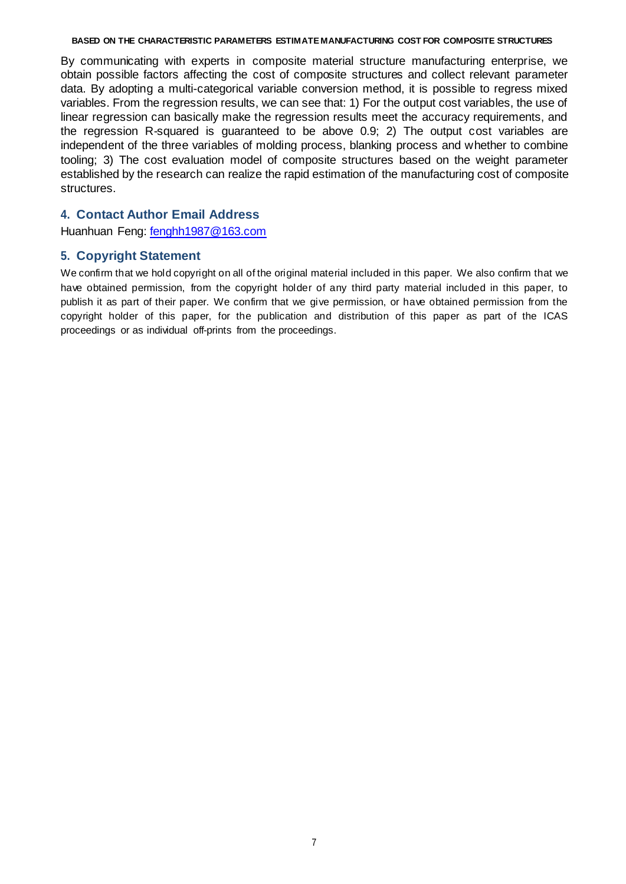By communicating with experts in composite material structure manufacturing enterprise, we obtain possible factors affecting the cost of composite structures and collect relevant parameter data. By adopting a multi-categorical variable conversion method, it is possible to regress mixed variables. From the regression results, we can see that: 1) For the output cost variables, the use of linear regression can basically make the regression results meet the accuracy requirements, and the regression R-squared is guaranteed to be above 0.9; 2) The output cost variables are independent of the three variables of molding process, blanking process and whether to combine tooling; 3) The cost evaluation model of composite structures based on the weight parameter established by the research can realize the rapid estimation of the manufacturing cost of composite structures.

### **4. Contact Author Email Address**

Huanhuan Feng: [fenghh1987@163.com](mailto:fenghh1987@163.com)

### **5. Copyright Statement**

We confirm that we hold copyright on all of the original material included in this paper. We also confirm that we have obtained permission, from the copyright holder of any third party material included in this paper, to publish it as part of their paper. We confirm that we give permission, or have obtained permission from the copyright holder of this paper, for the publication and distribution of this paper as part of the ICAS proceedings or as individual off-prints from the proceedings.